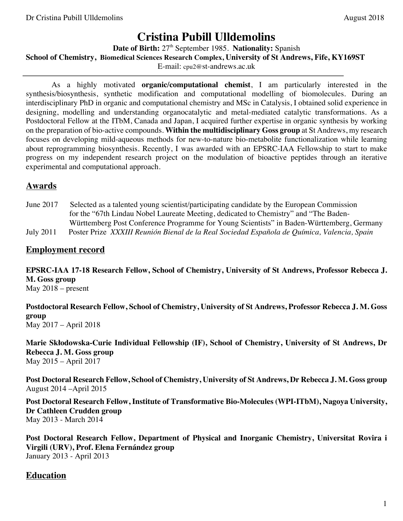# **Cristina Pubill Ulldemolins**

Date of Birth: 27<sup>th</sup> September 1985. Nationality: Spanish **School of Chemistry, Biomedical Sciences Research Complex, University of St Andrews, Fife, KY169ST** E-mail: cpu2@st-andrews.ac.uk

As a highly motivated **organic/computational chemist**, I am particularly interested in the synthesis/biosynthesis, synthetic modification and computational modelling of biomolecules. During an interdisciplinary PhD in organic and computational chemistry and MSc in Catalysis, I obtained solid experience in designing, modelling and understanding organocatalytic and metal-mediated catalytic transformations. As a Postdoctoral Fellow at the ITbM, Canada and Japan, I acquired further expertise in organic synthesis by working on the preparation of bio-active compounds. **Within the multidisciplinary Goss group** at St Andrews, my research focuses on developing mild-aqueous methods for new-to-nature bio-metabolite functionalization while learning about reprogramming biosynthesis. Recently, I was awarded with an EPSRC-IAA Fellowship to start to make progress on my independent research project on the modulation of bioactive peptides through an iterative experimental and computational approach.

# **Awards**

June 2017 Selected as a talented young scientist/participating candidate by the European Commission for the "67th Lindau Nobel Laureate Meeting, dedicated to Chemistry" and "The Baden- Württemberg Post Conference Programme for Young Scientists" in Baden-Württemberg, Germany July 2011Poster Prize *XXXIII Reunión Bienal de la Real Sociedad Española de Química, Valencia, Spain*

#### **Employment record**

**EPSRC-IAA 17-18 Research Fellow, School of Chemistry, University of St Andrews, Professor Rebecca J. M. Goss group**

May 2018 – present

**Postdoctoral Research Fellow, School of Chemistry, University of St Andrews, Professor Rebecca J. M. Goss group** May 2017 – April 2018

**Marie Skłodowska-Curie Individual Fellowship (IF), School of Chemistry, University of St Andrews, Dr Rebecca J. M. Goss group** May 2015 – April 2017

**Post Doctoral Research Fellow, School of Chemistry, University of St Andrews, Dr Rebecca J. M. Goss group** August 2014 –April 2015

**Post Doctoral Research Fellow, Institute of Transformative Bio-Molecules (WPI-ITbM), Nagoya University, Dr Cathleen Crudden group** May 2013 - March 2014

**Post Doctoral Research Fellow, Department of Physical and Inorganic Chemistry, Universitat Rovira i Virgili (URV), Prof. Elena Fernández group** January 2013 - April 2013

### **Education**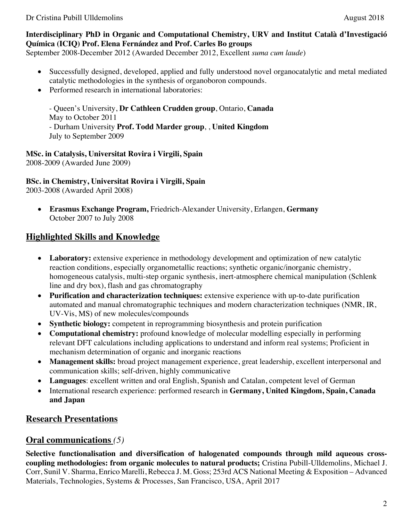#### **Interdisciplinary PhD in Organic and Computational Chemistry, URV and Institut Català d'Investigació Química (ICIQ) Prof. Elena Fernández and Prof. Carles Bo groups**

September 2008-December 2012 (Awarded December 2012, Excellent *suma cum laude*)

- Successfully designed, developed, applied and fully understood novel organocatalytic and metal mediated catalytic methodologies in the synthesis of organoboron compounds.
- Performed research in international laboratories:

- Queen's University, **Dr Cathleen Crudden group**, Ontario, **Canada** May to October 2011 - Durham University **Prof. Todd Marder group**, , **United Kingdom** July to September 2009

#### **MSc. in Catalysis, Universitat Rovira i Virgili, Spain**

2008-2009 (Awarded June 2009)

#### **BSc. in Chemistry, Universitat Rovira i Virgili, Spain**

2003-2008 (Awarded April 2008)

• **Erasmus Exchange Program,** Friedrich-Alexander University, Erlangen, **Germany** October 2007 to July 2008

# **Highlighted Skills and Knowledge**

- Laboratory: extensive experience in methodology development and optimization of new catalytic reaction conditions, especially organometallic reactions; synthetic organic/inorganic chemistry, homogeneous catalysis, multi-step organic synthesis, inert-atmosphere chemical manipulation (Schlenk line and dry box), flash and gas chromatography
- **Purification and characterization techniques:** extensive experience with up-to-date purification automated and manual chromatographic techniques and modern characterization techniques (NMR, IR, UV-Vis, MS) of new molecules/compounds
- **Synthetic biology:** competent in reprogramming biosynthesis and protein purification
- **Computational chemistry:** profound knowledge of molecular modelling especially in performing relevant DFT calculations including applications to understand and inform real systems; Proficient in mechanism determination of organic and inorganic reactions
- **Management skills:** broad project management experience, great leadership, excellent interpersonal and communication skills; self-driven, highly communicative
- **Languages**: excellent written and oral English, Spanish and Catalan, competent level of German
- International research experience: performed research in **Germany, United Kingdom, Spain, Canada and Japan**

# **Research Presentations**

### **Oral communications** *(5)*

**Selective functionalisation and diversification of halogenated compounds through mild aqueous crosscoupling methodologies: from organic molecules to natural products;** Cristina Pubill-Ulldemolins, Michael J. Corr, Sunil V. Sharma, Enrico Marelli, Rebecca J. M. Goss; 253rd ACS National Meeting & Exposition – Advanced Materials, Technologies, Systems & Processes, San Francisco, USA, April 2017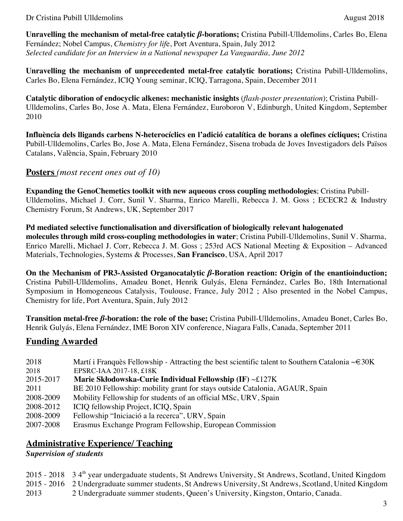**Unravelling the mechanism of metal-free catalytic** *β***-borations;** Cristina Pubill-Ulldemolins, Carles Bo, Elena Fernández; Nobel Campus, *Chemistry for lif*e, Port Aventura, Spain, July 2012 *Selected candidate for an Interview in a National newspaper La Vanguardia, June 2012* 

**Unravelling the mechanism of unprecedented metal-free catalytic borations;** Cristina Pubill-Ulldemolins, Carles Bo, Elena Fernández, ICIQ Young seminar, ICIQ, Tarragona, Spain, December 2011

**Catalytic diboration of endocyclic alkenes: mechanistic insights** (*flash-poster presentation*); Cristina Pubill-Ulldemolins, Carles Bo, Jose A. Mata, Elena Fernández, Euroboron V, Edinburgh, United Kingdom, September 2010

**Influència dels lligands carbens N-heterocíclics en l'adició catalítica de borans a olefines cícliques;** Cristina Pubill-Ulldemolins, Carles Bo, Jose A. Mata, Elena Fernández, Sisena trobada de Joves Investigadors dels Països Catalans, València, Spain, February 2010

#### **Posters** *(most recent ones out of 10)*

**Expanding the GenoChemetics toolkit with new aqueous cross coupling methodologies**; Cristina Pubill-Ulldemolins, Michael J. Corr, Sunil V. Sharma, Enrico Marelli, Rebecca J. M. Goss ; ECECR2 & Industry Chemistry Forum, St Andrews, UK, September 2017

**Pd mediated selective functionalisation and diversification of biologically relevant halogenated molecules through mild cross-coupling methodologies in water**; Cristina Pubill-Ulldemolins, Sunil V. Sharma, Enrico Marelli, Michael J. Corr, Rebecca J. M. Goss ; 253rd ACS National Meeting & Exposition – Advanced Materials, Technologies, Systems & Processes, **San Francisco**, USA, April 2017

**On the Mechanism of PR3-Assisted Organocatalytic** *β***-Boration reaction: Origin of the enantioinduction;**  Cristina Pubill-Ulldemolins, Amadeu Bonet, Henrik Gulyás, Elena Fernández, Carles Bo, 18th International Symposium in Homogeneous Catalysis, Toulouse, France, July 2012 ; Also presented in the Nobel Campus, Chemistry for life, Port Aventura, Spain, July 2012

**Transition metal-free** *β***-boration: the role of the base;** Cristina Pubill-Ulldemolins, Amadeu Bonet, Carles Bo, Henrik Gulyás, Elena Fernández, IME Boron XIV conference, Niagara Falls, Canada, September 2011

# **Funding Awarded**

- 2018 Martí i Franquès Fellowship Attracting the best scientific talent to Southern Catalonia ~ $\epsilon$ 30K
- 2018 EPSRC-IAA 2017-18, £18K
- 2015-2017 **Marie Skłodowska-Curie Individual Fellowship (IF)** ~£127K
- 2011 BE 2010 Fellowship: mobility grant for stays outside Catalonia, AGAUR, Spain
- 2008-2009 Mobility Fellowship for students of an official MSc, URV, Spain
- 2008-2012 ICIQ fellowship Project, ICIQ, Spain
- 2008-2009 Fellowship "Iniciació a la recerca", URV, Spain
- 2007-2008 Erasmus Exchange Program Fellowship, European Commission

# **Administrative Experience/ Teaching**

*Supervision of students*

2015 - 2018 34<sup>th</sup> year undergaduate students, St Andrews University, St Andrews, Scotland, United Kingdom 2015 - 2016 2 Undergraduate summer students, St Andrews University, St Andrews, Scotland, United Kingdom 2013 2 Undergraduate summer students, Queen's University, Kingston, Ontario, Canada.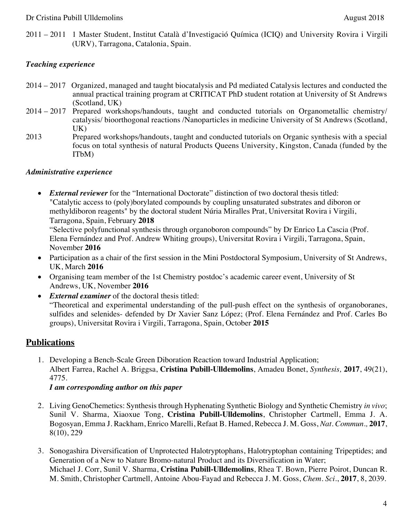2011 – 2011 1 Master Student, Institut Català d'Investigació Química (ICIQ) and University Rovira i Virgili (URV), Tarragona, Catalonia, Spain.

#### *Teaching experience*

- 2014 2017 Organized, managed and taught biocatalysis and Pd mediated Catalysis lectures and conducted the annual practical training program at CRITICAT PhD student rotation at University of St Andrews (Scotland, UK)
- 2014 2017 Prepared workshops/handouts, taught and conducted tutorials on Organometallic chemistry/ catalysis/ bioorthogonal reactions /Nanoparticles in medicine University of St Andrews (Scotland, UK)
- 2013 Prepared workshops/handouts, taught and conducted tutorials on Organic synthesis with a special focus on total synthesis of natural Products Queens University, Kingston, Canada (funded by the ITbM)

#### *Administrative experience*

• *External reviewer* for the "International Doctorate" distinction of two doctoral thesis titled: "Catalytic access to (poly)borylated compounds by coupling unsaturated substrates and diboron or methyldiboron reagents" by the doctoral student Núria Miralles Prat, Universitat Rovira i Virgili, Tarragona, Spain, February **2018** 

"Selective polyfunctional synthesis through organoboron compounds" by Dr Enrico La Cascia (Prof. Elena Fernández and Prof. Andrew Whiting groups), Universitat Rovira i Virgili, Tarragona, Spain, November **2016** 

- Participation as a chair of the first session in the Mini Postdoctoral Symposium, University of St Andrews, UK, March **2016**
- Organising team member of the 1st Chemistry postdoc's academic career event, University of St Andrews, UK, November **2016**
- *External examiner* of the doctoral thesis titled: "Theoretical and experimental understanding of the pull-push effect on the synthesis of organoboranes, sulfides and selenides- defended by Dr Xavier Sanz López; (Prof. Elena Fernández and Prof. Carles Bo groups), Universitat Rovira i Virgili, Tarragona, Spain, October **2015**

### **Publications**

1. Developing a Bench-Scale Green Diboration Reaction toward Industrial Application; Albert Farrea, Rachel A. Briggsa, **Cristina Pubill-Ulldemolins**, Amadeu Bonet, *Synthesis,* **2017**, 49(21), 4775.

*I am corresponding author on this paper*

- 2. Living GenoChemetics: Synthesis through Hyphenating Synthetic Biology and Synthetic Chemistry *in vivo*; Sunil V. Sharma, Xiaoxue Tong, **Cristina Pubill-Ulldemolins**, Christopher Cartmell, Emma J. A. Bogosyan, Emma J. Rackham, Enrico Marelli, Refaat B. Hamed, Rebecca J. M. Goss, *Nat. Commun.,* **2017**, 8(10), 229
- 3. Sonogashira Diversification of Unprotected Halotryptophans, Halotryptophan containing Tripeptides; and Generation of a New to Nature Bromo-natural Product and its Diversification in Water; Michael J. Corr, Sunil V. Sharma, **Cristina Pubill-Ulldemolins**, Rhea T. Bown, Pierre Poirot, Duncan R. M. Smith, Christopher Cartmell, Antoine Abou-Fayad and Rebecca J. M. Goss, *Chem. Sci.*, **2017**, 8, 2039.